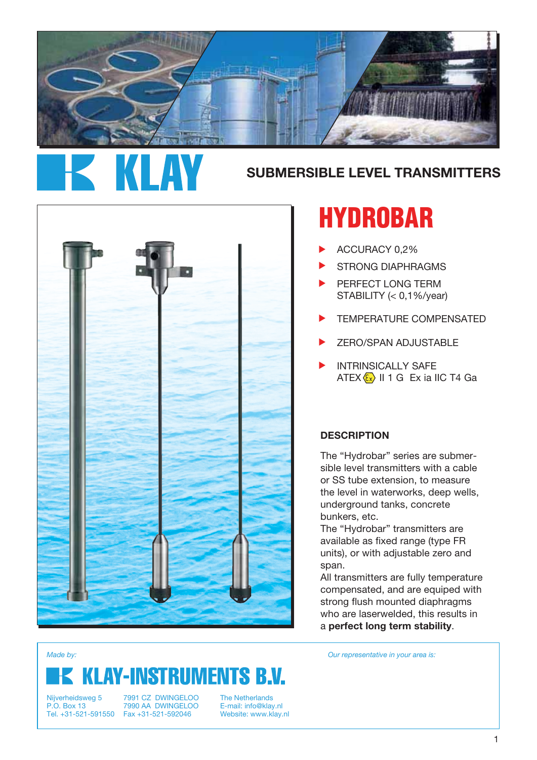

# **SUBMERSIBLE LEVEL TRANSMITTERS**



# **HYDROBAR**

- ACCURACY 0,2% ▲
- STRONG DIAPHRAGMS ▲
- PERFECT LONG TERM STABILITY (< 0,1%/year) ▲
- TEMPERATURE COMPENSATED  $\blacktriangleright$
- ZERO/SPAN ADJUSTABLE ▲
- INTRINSICALLY SAFE ATEX  $\langle x \rangle$  II 1 G Ex ia IIC T4 Ga ▲

#### **DESCRIPTION**

The "Hydrobar" series are submersible level transmitters with a cable or SS tube extension, to measure the level in waterworks, deep wells, underground tanks, concrete bunkers, etc.

The "Hydrobar" transmitters are available as fixed range (type FR units), or with adjustable zero and span.

All transmitters are fully temperature compensated, and are equiped with strong flush mounted diaphragms who are laserwelded, this results in a **perfect long term stability**.

# **KLAY-INSTRUMENTS B.V.**

*Made by: Our representative in your area is:*

Nijverheidsweg 5 P.O. Box 13

Tel. +31-521-591550 Fax +31-521-592046 7991 CZ DWINGELOO 7990 AA DWINGELOO

The Netherlands E-mail: info@klay.nl Website: www.klay.nl